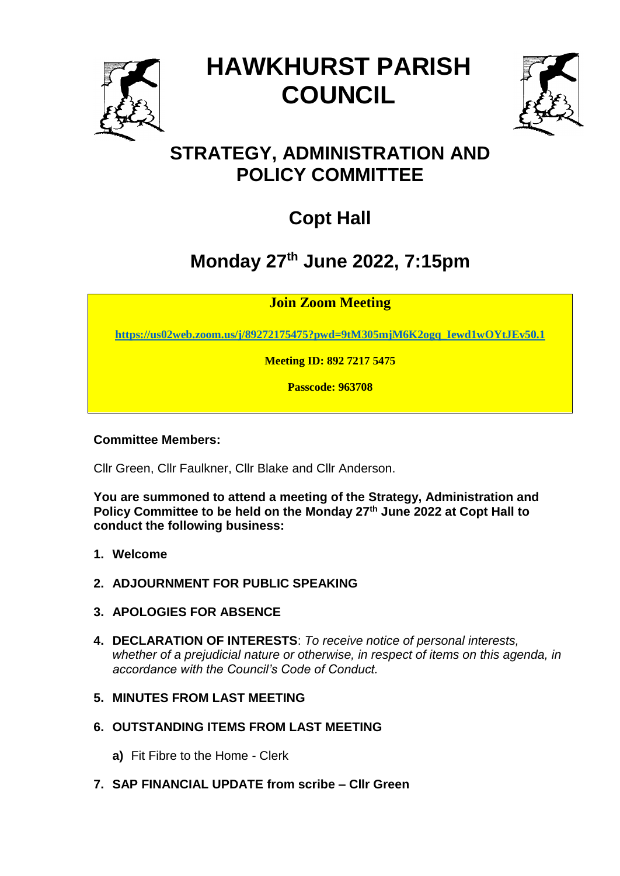

# **HAWKHURST PARISH COUNCIL**



### **STRATEGY, ADMINISTRATION AND POLICY COMMITTEE**

## **Copt Hall**

## **Monday 27th June 2022, 7:15pm**

**Join Zoom Meeting**

**[https://us02web.zoom.us/j/89272175475?pwd=9tM305mjM6K2ogq\\_Iewd1wOYtJEv50.1](https://us02web.zoom.us/j/89272175475?pwd=9tM305mjM6K2ogq_Iewd1wOYtJEv50.1)**

**Meeting ID: 892 7217 5475**

**Passcode: 963708**

#### **Committee Members:**

Cllr Green, Cllr Faulkner, Cllr Blake and Cllr Anderson.

**You are summoned to attend a meeting of the Strategy, Administration and Policy Committee to be held on the Monday 27th June 2022 at Copt Hall to conduct the following business:**

- **1. Welcome**
- **2. ADJOURNMENT FOR PUBLIC SPEAKING**
- **3. APOLOGIES FOR ABSENCE**
- **4. DECLARATION OF INTERESTS**: *To receive notice of personal interests, whether of a prejudicial nature or otherwise, in respect of items on this agenda, in accordance with the Council's Code of Conduct.*

#### **5. MINUTES FROM LAST MEETING**

- **6. OUTSTANDING ITEMS FROM LAST MEETING**
	- **a)** Fit Fibre to the Home Clerk
- **7. SAP FINANCIAL UPDATE from scribe – Cllr Green**